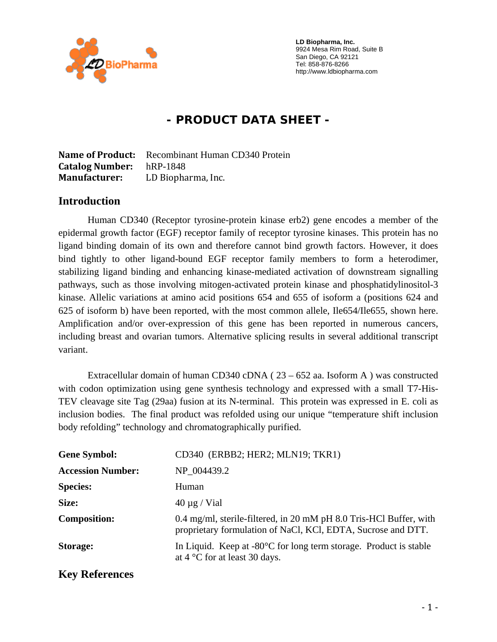

 **LD Biopharma, Inc.**  9924 Mesa Rim Road, Suite B San Diego, CA 92121 Tel: 858-876-8266 http://www.ldbiopharma.com

# **- PRODUCT DATA SHEET -**

**Name of Product:** Recombinant Human CD340 Protein **Catalog Number:** hRP-1848 **Manufacturer:** LD Biopharma, Inc.

#### **Introduction**

Human CD340 (Receptor tyrosine-protein kinase erb2) gene encodes a member of the epidermal growth factor (EGF) receptor family of receptor tyrosine kinases. This protein has no ligand binding domain of its own and therefore cannot bind growth factors. However, it does bind tightly to other ligand-bound EGF receptor family members to form a heterodimer, stabilizing ligand binding and enhancing kinase-mediated activation of downstream signalling pathways, such as those involving mitogen-activated protein kinase and phosphatidylinositol-3 kinase. Allelic variations at amino acid positions 654 and 655 of isoform a (positions 624 and 625 of isoform b) have been reported, with the most common allele, Ile654/Ile655, shown here. Amplification and/or over-expression of this gene has been reported in numerous cancers, including breast and ovarian tumors. Alternative splicing results in several additional transcript variant.

Extracellular domain of human CD340 cDNA ( $23 - 652$  aa. Isoform A) was constructed with codon optimization using gene synthesis technology and expressed with a small T7-His-TEV cleavage site Tag (29aa) fusion at its N-terminal. This protein was expressed in E. coli as inclusion bodies. The final product was refolded using our unique "temperature shift inclusion body refolding" technology and chromatographically purified.

| <b>Gene Symbol:</b>      | CD340 (ERBB2; HER2; MLN19; TKR1)                                                                                                   |
|--------------------------|------------------------------------------------------------------------------------------------------------------------------------|
| <b>Accession Number:</b> | NP 004439.2                                                                                                                        |
| <b>Species:</b>          | Human                                                                                                                              |
| Size:                    | $40 \mu g$ / Vial                                                                                                                  |
| <b>Composition:</b>      | 0.4 mg/ml, sterile-filtered, in 20 mM pH 8.0 Tris-HCl Buffer, with<br>proprietary formulation of NaCl, KCl, EDTA, Sucrose and DTT. |
| <b>Storage:</b>          | In Liquid. Keep at $-80^{\circ}$ C for long term storage. Product is stable<br>at $4^{\circ}$ C for at least 30 days.              |
| <b>Key References</b>    |                                                                                                                                    |